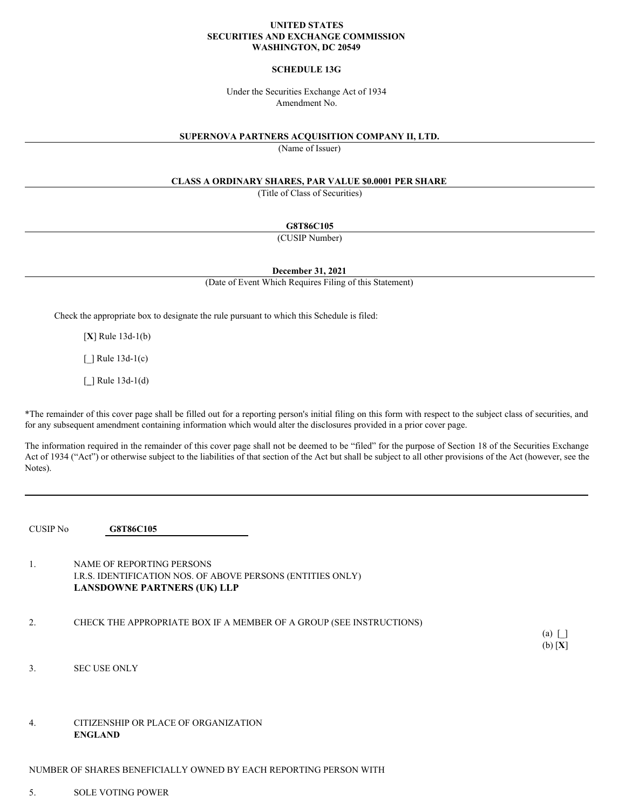### **UNITED STATES SECURITIES AND EXCHANGE COMMISSION WASHINGTON, DC 20549**

### **SCHEDULE 13G**

Under the Securities Exchange Act of 1934 Amendment No.

#### **SUPERNOVA PARTNERS ACQUISITION COMPANY II, LTD.**

(Name of Issuer)

### **CLASS A ORDINARY SHARES, PAR VALUE \$0.0001 PER SHARE**

(Title of Class of Securities)

**G8T86C105**

(CUSIP Number)

**December 31, 2021**

(Date of Event Which Requires Filing of this Statement)

Check the appropriate box to designate the rule pursuant to which this Schedule is filed:

[**X**] Rule 13d-1(b)

[ ] Rule 13d-1(c)

[**\_**] Rule 13d-1(d)

\*The remainder of this cover page shall be filled out for a reporting person's initial filing on this form with respect to the subject class of securities, and for any subsequent amendment containing information which would alter the disclosures provided in a prior cover page.

The information required in the remainder of this cover page shall not be deemed to be "filed" for the purpose of Section 18 of the Securities Exchange Act of 1934 ("Act") or otherwise subject to the liabilities of that section of the Act but shall be subject to all other provisions of the Act (however, see the Notes).

CUSIP No **G8T86C105**

1. NAME OF REPORTING PERSONS I.R.S. IDENTIFICATION NOS. OF ABOVE PERSONS (ENTITIES ONLY) **LANSDOWNE PARTNERS (UK) LLP**

2. CHECK THE APPROPRIATE BOX IF A MEMBER OF A GROUP (SEE INSTRUCTIONS)

(a) [\_] (b) [**X**]

- 3. SEC USE ONLY
- 4. CITIZENSHIP OR PLACE OF ORGANIZATION **ENGLAND**

NUMBER OF SHARES BENEFICIALLY OWNED BY EACH REPORTING PERSON WITH

5. SOLE VOTING POWER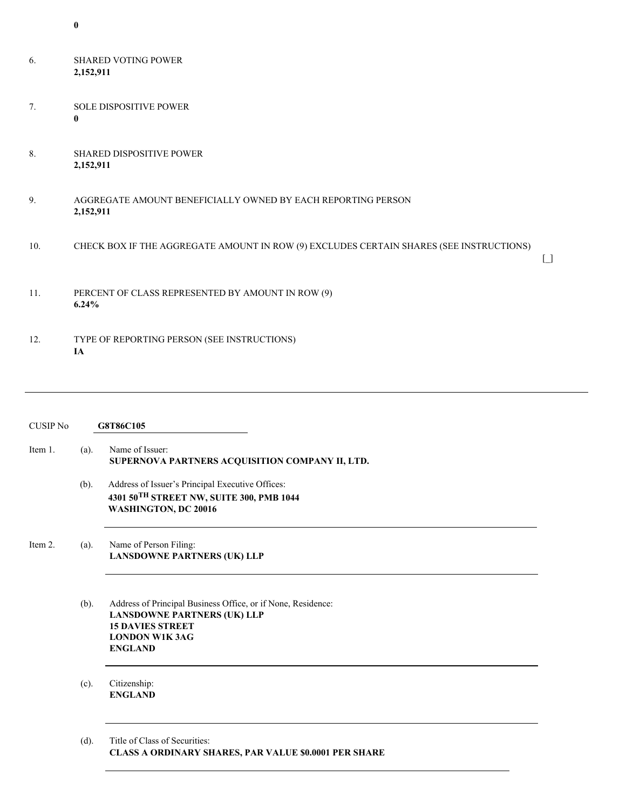- 6. SHARED VOTING POWER **2,152,911**
- 7. SOLE DISPOSITIVE POWER **0**
- 8. SHARED DISPOSITIVE POWER **2,152,911**
- 9. AGGREGATE AMOUNT BENEFICIALLY OWNED BY EACH REPORTING PERSON **2,152,911**
- 10. CHECK BOX IF THE AGGREGATE AMOUNT IN ROW (9) EXCLUDES CERTAIN SHARES (SEE INSTRUCTIONS)

 $\Box$ 

- 11. PERCENT OF CLASS REPRESENTED BY AMOUNT IN ROW (9) **6.24%**
- 12. TYPE OF REPORTING PERSON (SEE INSTRUCTIONS) **IA**

| <b>CUSIP No</b> |         | G8T86C105                                                                                                                                                                |
|-----------------|---------|--------------------------------------------------------------------------------------------------------------------------------------------------------------------------|
| Item 1.         | $(a)$ . | Name of Issuer:<br>SUPERNOVA PARTNERS ACQUISITION COMPANY II, LTD.                                                                                                       |
|                 | (b).    | Address of Issuer's Principal Executive Offices:<br>4301 50TH STREET NW, SUITE 300, PMB 1044<br>WASHINGTON, DC 20016                                                     |
| Item 2.         | $(a)$ . | Name of Person Filing:<br><b>LANSDOWNE PARTNERS (UK) LLP</b>                                                                                                             |
|                 | $(b)$ . | Address of Principal Business Office, or if None, Residence:<br><b>LANSDOWNE PARTNERS (UK) LLP</b><br><b>15 DAVIES STREET</b><br><b>LONDON W1K 3AG</b><br><b>ENGLAND</b> |
|                 | $(c)$ . | Citizenship:<br><b>ENGLAND</b>                                                                                                                                           |
|                 | (d).    | Title of Class of Securities:<br>CLASS A ORDINARY SHARES, PAR VALUE \$0.0001 PER SHARE                                                                                   |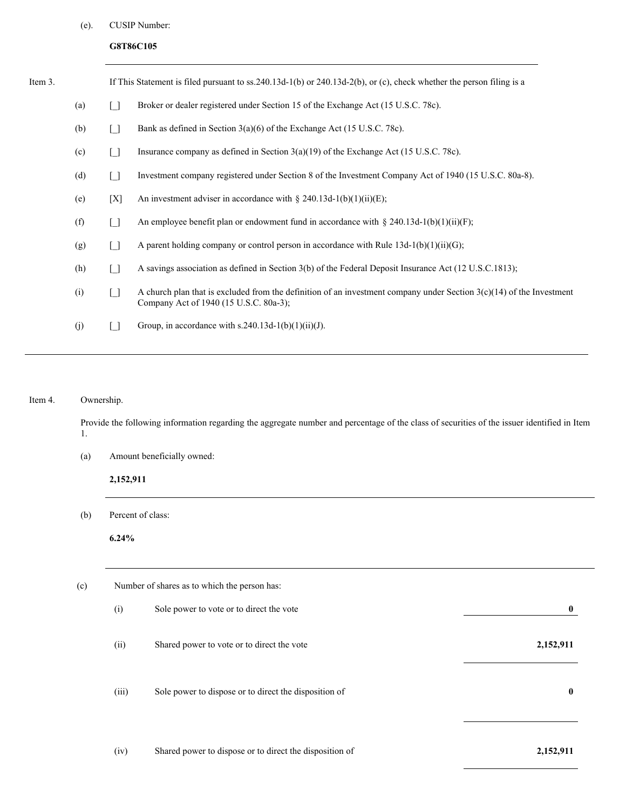# (e). CUSIP Number:

# **G8T86C105**

| Item 3.   |                                                                                                      |        | If This Statement is filed pursuant to ss.240.13d-1(b) or 240.13d-2(b), or (c), check whether the person filing is a                                             |  |
|-----------|------------------------------------------------------------------------------------------------------|--------|------------------------------------------------------------------------------------------------------------------------------------------------------------------|--|
|           | (a)                                                                                                  | Γl     | Broker or dealer registered under Section 15 of the Exchange Act (15 U.S.C. 78c).                                                                                |  |
|           | (b)                                                                                                  | [ ]    | Bank as defined in Section $3(a)(6)$ of the Exchange Act (15 U.S.C. 78c).                                                                                        |  |
|           | (c)<br>Insurance company as defined in Section $3(a)(19)$ of the Exchange Act (15 U.S.C. 78c).<br>Γl |        |                                                                                                                                                                  |  |
| (d)<br>Γl |                                                                                                      |        | Investment company registered under Section 8 of the Investment Company Act of 1940 (15 U.S.C. 80a-8).                                                           |  |
|           | (e)                                                                                                  | [X]    | An investment adviser in accordance with § 240.13d-1(b)(1)(ii)(E);                                                                                               |  |
|           | (f)                                                                                                  | $\Box$ | An employee benefit plan or endowment fund in accordance with § 240.13d-1(b)(1)(ii)(F);                                                                          |  |
|           | (g)                                                                                                  | $\Box$ | A parent holding company or control person in accordance with Rule $13d-1(b)(1)(ii)(G)$ ;                                                                        |  |
|           | (h)                                                                                                  | $\Box$ | A savings association as defined in Section 3(b) of the Federal Deposit Insurance Act (12 U.S.C.1813);                                                           |  |
|           | (i)                                                                                                  | $\Box$ | A church plan that is excluded from the definition of an investment company under Section $3(c)(14)$ of the Investment<br>Company Act of 1940 (15 U.S.C. 80a-3); |  |
|           | (j)                                                                                                  | Γl     | Group, in accordance with s.240.13d-1(b)(1)(ii)(J).                                                                                                              |  |
|           |                                                                                                      |        |                                                                                                                                                                  |  |

# Item 4. Ownership.

Provide the following information regarding the aggregate number and percentage of the class of securities of the issuer identified in Item 1.

(a) Amount beneficially owned:

# **2,152,911**

(b) Percent of class:

**6.24%**

| (c) |       | Number of shares as to which the person has:            |                  |  |  |  |  |
|-----|-------|---------------------------------------------------------|------------------|--|--|--|--|
|     | (i)   | Sole power to vote or to direct the vote                | $\bf{0}$         |  |  |  |  |
|     | (ii)  | Shared power to vote or to direct the vote              | 2,152,911        |  |  |  |  |
|     | (iii) | Sole power to dispose or to direct the disposition of   | $\boldsymbol{0}$ |  |  |  |  |
|     | (iv)  | Shared power to dispose or to direct the disposition of | 2,152,911        |  |  |  |  |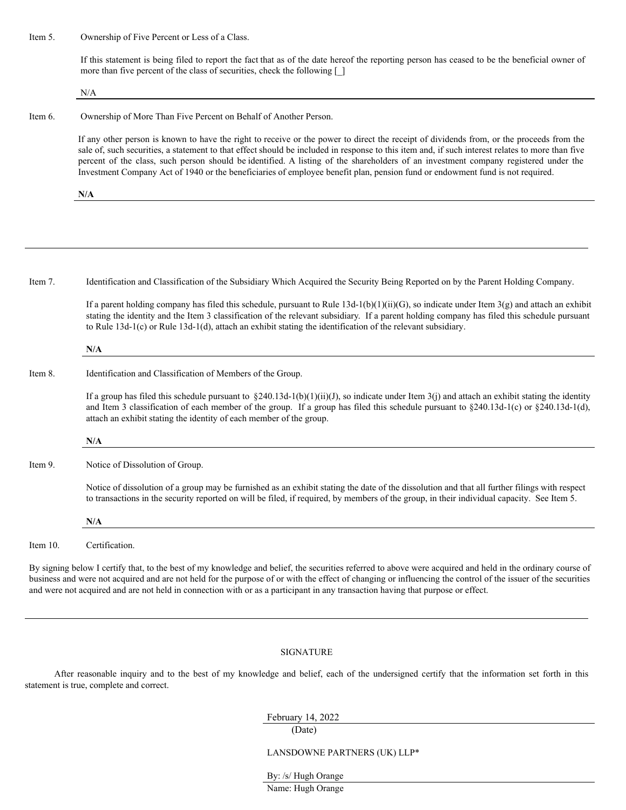Item 5. Ownership of Five Percent or Less of a Class.

If this statement is being filed to report the fact that as of the date hereof the reporting person has ceased to be the beneficial owner of more than five percent of the class of securities, check the following  $\lceil \cdot \rceil$ 

N/A

Item 6. Ownership of More Than Five Percent on Behalf of Another Person.

If any other person is known to have the right to receive or the power to direct the receipt of dividends from, or the proceeds from the sale of, such securities, a statement to that effect should be included in response to this item and, if such interest relates to more than five percent of the class, such person should be identified. A listing of the shareholders of an investment company registered under the Investment Company Act of 1940 or the beneficiaries of employee benefit plan, pension fund or endowment fund is not required.

**N/A**

Item 7. Identification and Classification of the Subsidiary Which Acquired the Security Being Reported on by the Parent Holding Company.

If a parent holding company has filed this schedule, pursuant to Rule  $13d-1(b)(1)(ii)(G)$ , so indicate under Item 3(g) and attach an exhibit stating the identity and the Item 3 classification of the relevant subsidiary. If a parent holding company has filed this schedule pursuant to Rule 13d-1(c) or Rule 13d-1(d), attach an exhibit stating the identification of the relevant subsidiary.

**N/A**

Item 8. Identification and Classification of Members of the Group.

If a group has filed this schedule pursuant to  $\S 240.13d-1(b)(1)(ii)(J)$ , so indicate under Item 3(j) and attach an exhibit stating the identity and Item 3 classification of each member of the group. If a group has filed this schedule pursuant to  $\S 240.13d-1(c)$  or  $\S 240.13d-1(d)$ , attach an exhibit stating the identity of each member of the group.

**N/A**

Item 9. Notice of Dissolution of Group.

Notice of dissolution of a group may be furnished as an exhibit stating the date of the dissolution and that all further filings with respect to transactions in the security reported on will be filed, if required, by members of the group, in their individual capacity. See Item 5.

**N/A**

Item 10. Certification.

By signing below I certify that, to the best of my knowledge and belief, the securities referred to above were acquired and held in the ordinary course of business and were not acquired and are not held for the purpose of or with the effect of changing or influencing the control of the issuer of the securities and were not acquired and are not held in connection with or as a participant in any transaction having that purpose or effect.

### SIGNATURE

After reasonable inquiry and to the best of my knowledge and belief, each of the undersigned certify that the information set forth in this statement is true, complete and correct.

## February 14, 2022

### LANSDOWNE PARTNERS (UK) LLP\*

By: /s/ Hugh Orange

Name: Hugh Orange